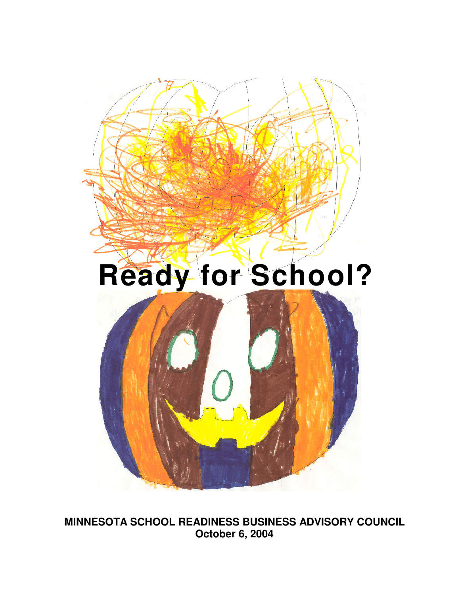

**MINNESOTA SCHOOL READINESS BUSINESS ADVISORY COUNCIL October 6, 2004**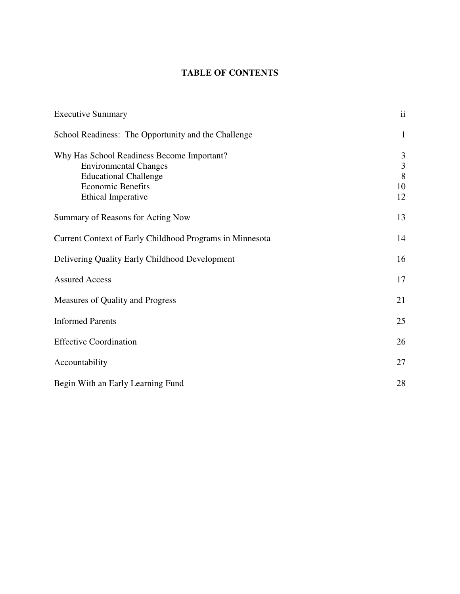# **TABLE OF CONTENTS**

| <b>Executive Summary</b>                                 | $\mathbf{ii}$  |
|----------------------------------------------------------|----------------|
| School Readiness: The Opportunity and the Challenge      | $\mathbf{1}$   |
| Why Has School Readiness Become Important?               | 3              |
| <b>Environmental Changes</b>                             | $\mathfrak{Z}$ |
| <b>Educational Challenge</b><br><b>Economic Benefits</b> | 8<br>10        |
| Ethical Imperative                                       | 12             |
| Summary of Reasons for Acting Now                        | 13             |
| Current Context of Early Childhood Programs in Minnesota | 14             |
| Delivering Quality Early Childhood Development           | 16             |
| <b>Assured Access</b>                                    | 17             |
| Measures of Quality and Progress                         | 21             |
| <b>Informed Parents</b>                                  | 25             |
| <b>Effective Coordination</b>                            | 26             |
| Accountability                                           | 27             |
| Begin With an Early Learning Fund                        | 28             |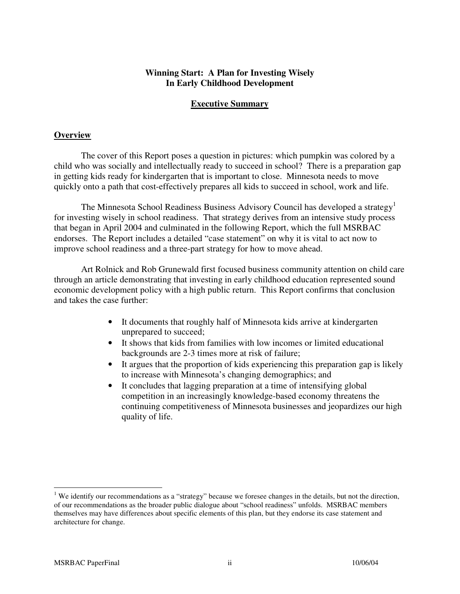## **Winning Start: A Plan for Investing Wisely In Early Childhood Development**

## **Executive Summary**

#### **Overview**

The cover of this Report poses a question in pictures: which pumpkin was colored by a child who was socially and intellectually ready to succeed in school? There is a preparation gap in getting kids ready for kindergarten that is important to close. Minnesota needs to move quickly onto a path that cost-effectively prepares all kids to succeed in school, work and life.

The Minnesota School Readiness Business Advisory Council has developed a strategy<sup>1</sup> for investing wisely in school readiness. That strategy derives from an intensive study process that began in April 2004 and culminated in the following Report, which the full MSRBAC endorses. The Report includes a detailed "case statement" on why it is vital to act now to improve school readiness and a three-part strategy for how to move ahead.

Art Rolnick and Rob Grunewald first focused business community attention on child care through an article demonstrating that investing in early childhood education represented sound economic development policy with a high public return. This Report confirms that conclusion and takes the case further:

- It documents that roughly half of Minnesota kids arrive at kindergarten unprepared to succeed;
- It shows that kids from families with low incomes or limited educational backgrounds are 2-3 times more at risk of failure;
- It argues that the proportion of kids experiencing this preparation gap is likely to increase with Minnesota's changing demographics; and
- It concludes that lagging preparation at a time of intensifying global competition in an increasingly knowledge-based economy threatens the continuing competitiveness of Minnesota businesses and jeopardizes our high quality of life.

<sup>&</sup>lt;sup>1</sup> We identify our recommendations as a "strategy" because we foresee changes in the details, but not the direction, of our recommendations as the broader public dialogue about "school readiness" unfolds. MSRBAC members themselves may have differences about specific elements of this plan, but they endorse its case statement and architecture for change.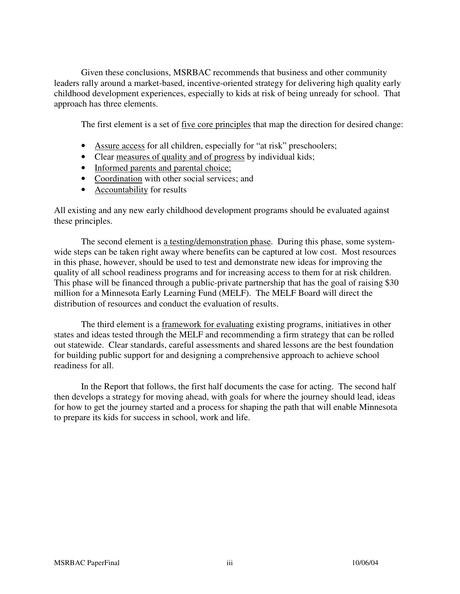Given these conclusions, MSRBAC recommends that business and other community leaders rally around a market-based, incentive-oriented strategy for delivering high quality early childhood development experiences, especially to kids at risk of being unready for school. That approach has three elements.

The first element is a set of five core principles that map the direction for desired change:

- Assure access for all children, especially for "at risk" preschoolers;
- Clear measures of quality and of progress by individual kids;
- Informed parents and parental choice;
- Coordination with other social services; and
- Accountability for results

All existing and any new early childhood development programs should be evaluated against these principles.

The second element is a testing/demonstration phase. During this phase, some systemwide steps can be taken right away where benefits can be captured at low cost. Most resources in this phase, however, should be used to test and demonstrate new ideas for improving the quality of all school readiness programs and for increasing access to them for at risk children. This phase will be financed through a public-private partnership that has the goal of raising \$30 million for a Minnesota Early Learning Fund (MELF). The MELF Board will direct the distribution of resources and conduct the evaluation of results.

 The third element is a framework for evaluating existing programs, initiatives in other states and ideas tested through the MELF and recommending a firm strategy that can be rolled out statewide. Clear standards, careful assessments and shared lessons are the best foundation for building public support for and designing a comprehensive approach to achieve school readiness for all.

 In the Report that follows, the first half documents the case for acting. The second half then develops a strategy for moving ahead, with goals for where the journey should lead, ideas for how to get the journey started and a process for shaping the path that will enable Minnesota to prepare its kids for success in school, work and life.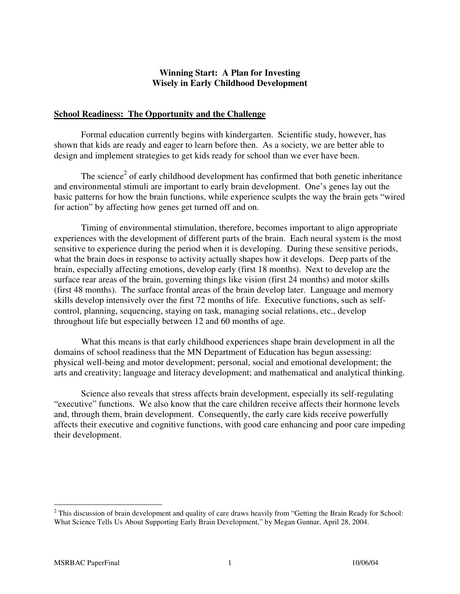## **Winning Start: A Plan for Investing Wisely in Early Childhood Development**

### **School Readiness: The Opportunity and the Challenge**

 Formal education currently begins with kindergarten. Scientific study, however, has shown that kids are ready and eager to learn before then. As a society, we are better able to design and implement strategies to get kids ready for school than we ever have been.

The science<sup>2</sup> of early childhood development has confirmed that both genetic inheritance and environmental stimuli are important to early brain development. One's genes lay out the basic patterns for how the brain functions, while experience sculpts the way the brain gets "wired for action" by affecting how genes get turned off and on.

 Timing of environmental stimulation, therefore, becomes important to align appropriate experiences with the development of different parts of the brain. Each neural system is the most sensitive to experience during the period when it is developing. During these sensitive periods, what the brain does in response to activity actually shapes how it develops. Deep parts of the brain, especially affecting emotions, develop early (first 18 months). Next to develop are the surface rear areas of the brain, governing things like vision (first 24 months) and motor skills (first 48 months). The surface frontal areas of the brain develop later. Language and memory skills develop intensively over the first 72 months of life. Executive functions, such as selfcontrol, planning, sequencing, staying on task, managing social relations, etc., develop throughout life but especially between 12 and 60 months of age.

 What this means is that early childhood experiences shape brain development in all the domains of school readiness that the MN Department of Education has begun assessing: physical well-being and motor development; personal, social and emotional development; the arts and creativity; language and literacy development; and mathematical and analytical thinking.

 Science also reveals that stress affects brain development, especially its self-regulating "executive" functions. We also know that the care children receive affects their hormone levels and, through them, brain development. Consequently, the early care kids receive powerfully affects their executive and cognitive functions, with good care enhancing and poor care impeding their development.

<sup>&</sup>lt;sup>2</sup> This discussion of brain development and quality of care draws heavily from "Getting the Brain Ready for School: What Science Tells Us About Supporting Early Brain Development," by Megan Gunnar, April 28, 2004.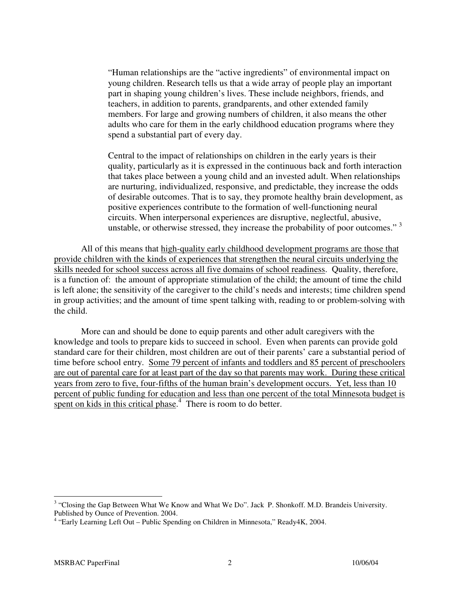"Human relationships are the "active ingredients" of environmental impact on young children. Research tells us that a wide array of people play an important part in shaping young children's lives. These include neighbors, friends, and teachers, in addition to parents, grandparents, and other extended family members. For large and growing numbers of children, it also means the other adults who care for them in the early childhood education programs where they spend a substantial part of every day.

Central to the impact of relationships on children in the early years is their quality, particularly as it is expressed in the continuous back and forth interaction that takes place between a young child and an invested adult. When relationships are nurturing, individualized, responsive, and predictable, they increase the odds of desirable outcomes. That is to say, they promote healthy brain development, as positive experiences contribute to the formation of well-functioning neural circuits. When interpersonal experiences are disruptive, neglectful, abusive, unstable, or otherwise stressed, they increase the probability of poor outcomes."<sup>3</sup>

 All of this means that high-quality early childhood development programs are those that provide children with the kinds of experiences that strengthen the neural circuits underlying the skills needed for school success across all five domains of school readiness. Quality, therefore, is a function of: the amount of appropriate stimulation of the child; the amount of time the child is left alone; the sensitivity of the caregiver to the child's needs and interests; time children spend in group activities; and the amount of time spent talking with, reading to or problem-solving with the child.

 More can and should be done to equip parents and other adult caregivers with the knowledge and tools to prepare kids to succeed in school. Even when parents can provide gold standard care for their children, most children are out of their parents' care a substantial period of time before school entry. Some 79 percent of infants and toddlers and 85 percent of preschoolers are out of parental care for at least part of the day so that parents may work. During these critical years from zero to five, four-fifths of the human brain's development occurs. Yet, less than 10 percent of public funding for education and less than one percent of the total Minnesota budget is spent on kids in this critical phase.<sup>4</sup> There is room to do better.

<sup>&</sup>lt;sup>3</sup> "Closing the Gap Between What We Know and What We Do". Jack P. Shonkoff. M.D. Brandeis University. Published by Ounce of Prevention. 2004.

<sup>&</sup>lt;sup>4</sup> "Early Learning Left Out - Public Spending on Children in Minnesota," Ready4K, 2004.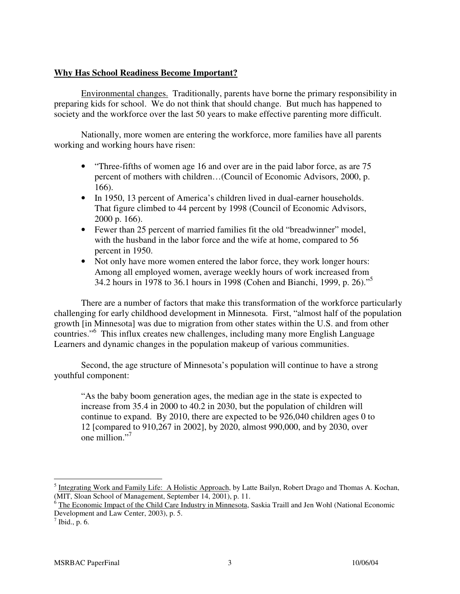### **Why Has School Readiness Become Important?**

 Environmental changes. Traditionally, parents have borne the primary responsibility in preparing kids for school. We do not think that should change. But much has happened to society and the workforce over the last 50 years to make effective parenting more difficult.

 Nationally, more women are entering the workforce, more families have all parents working and working hours have risen:

- "Three-fifths of women age 16 and over are in the paid labor force, as are 75 percent of mothers with children…(Council of Economic Advisors, 2000, p. 166).
- In 1950, 13 percent of America's children lived in dual-earner households. That figure climbed to 44 percent by 1998 (Council of Economic Advisors, 2000 p. 166).
- Fewer than 25 percent of married families fit the old "breadwinner" model, with the husband in the labor force and the wife at home, compared to 56 percent in 1950.
- Not only have more women entered the labor force, they work longer hours: Among all employed women, average weekly hours of work increased from 34.2 hours in 1978 to 36.1 hours in 1998 (Cohen and Bianchi, 1999, p. 26)."<sup>5</sup>

 There are a number of factors that make this transformation of the workforce particularly challenging for early childhood development in Minnesota. First, "almost half of the population growth [in Minnesota] was due to migration from other states within the U.S. and from other countries."<sup>6</sup> This influx creates new challenges, including many more English Language Learners and dynamic changes in the population makeup of various communities.

 Second, the age structure of Minnesota's population will continue to have a strong youthful component:

"As the baby boom generation ages, the median age in the state is expected to increase from 35.4 in 2000 to 40.2 in 2030, but the population of children will continue to expand. By 2010, there are expected to be 926,040 children ages 0 to 12 [compared to 910,267 in 2002], by 2020, almost 990,000, and by 2030, over one million."<sup>7</sup>

<sup>&</sup>lt;sup>5</sup> Integrating Work and Family Life: A Holistic Approach, by Latte Bailyn, Robert Drago and Thomas A. Kochan,

<sup>(</sup>MIT, Sloan School of Management, September 14, 2001), p. 11.<br><sup>6</sup> The Economic Impact of the Child Care Industry in Minnesota, Saskia Traill and Jen Wohl (National Economic Development and Law Center, 2003), p. 5.

 $^7$  Ibid., p. 6.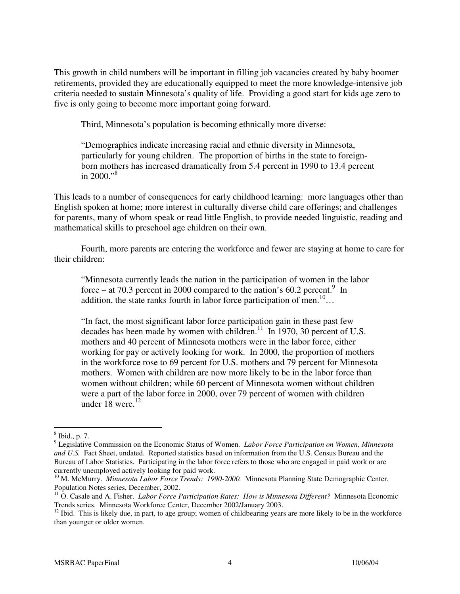This growth in child numbers will be important in filling job vacancies created by baby boomer retirements, provided they are educationally equipped to meet the more knowledge-intensive job criteria needed to sustain Minnesota's quality of life. Providing a good start for kids age zero to five is only going to become more important going forward.

Third, Minnesota's population is becoming ethnically more diverse:

"Demographics indicate increasing racial and ethnic diversity in Minnesota, particularly for young children. The proportion of births in the state to foreignborn mothers has increased dramatically from 5.4 percent in 1990 to 13.4 percent in  $2000.^{98}$ 

This leads to a number of consequences for early childhood learning: more languages other than English spoken at home; more interest in culturally diverse child care offerings; and challenges for parents, many of whom speak or read little English, to provide needed linguistic, reading and mathematical skills to preschool age children on their own.

 Fourth, more parents are entering the workforce and fewer are staying at home to care for their children:

"Minnesota currently leads the nation in the participation of women in the labor force – at 70.3 percent in 2000 compared to the nation's 60.2 percent.<sup>9</sup> In addition, the state ranks fourth in labor force participation of men.<sup>10</sup>…

"In fact, the most significant labor force participation gain in these past few decades has been made by women with children.<sup>11</sup> In 1970, 30 percent of U.S. mothers and 40 percent of Minnesota mothers were in the labor force, either working for pay or actively looking for work. In 2000, the proportion of mothers in the workforce rose to 69 percent for U.S. mothers and 79 percent for Minnesota mothers. Women with children are now more likely to be in the labor force than women without children; while 60 percent of Minnesota women without children were a part of the labor force in 2000, over 79 percent of women with children under  $18$  were.<sup>12</sup>

<sup>8</sup> Ibid., p. 7.

<sup>9</sup> Legislative Commission on the Economic Status of Women. *Labor Force Participation on Women, Minnesota and U.S.* Fact Sheet, undated. Reported statistics based on information from the U.S. Census Bureau and the Bureau of Labor Statistics. Participating in the labor force refers to those who are engaged in paid work or are currently unemployed actively looking for paid work.

<sup>&</sup>lt;sup>10</sup> M. McMurry. *Minnesota Labor Force Trends: 1990-2000*. Minnesota Planning State Demographic Center. Population Notes series, December, 2002.

<sup>&</sup>lt;sup>11</sup> O. Casale and A. Fisher. *Labor Force Participation Rates: How is Minnesota Different?* Minnesota Economic Trends series. Minnesota Workforce Center, December 2002/January 2003.

 $12$  Ibid. This is likely due, in part, to age group; women of childbearing years are more likely to be in the workforce than younger or older women.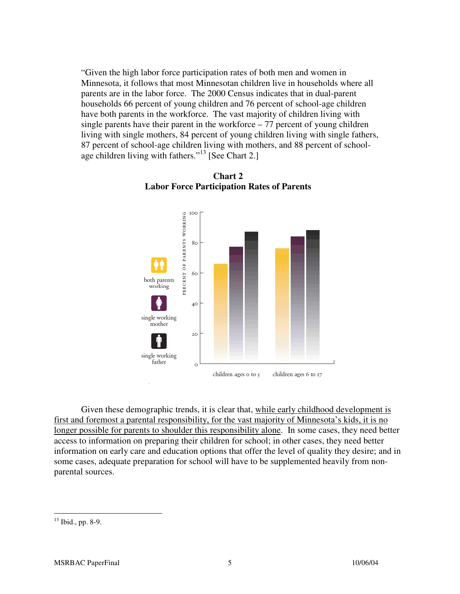"Given the high labor force participation rates of both men and women in Minnesota, it follows that most Minnesotan children live in households where all parents are in the labor force. The 2000 Census indicates that in dual-parent households 66 percent of young children and 76 percent of school-age children have both parents in the workforce. The vast majority of children living with single parents have their parent in the workforce – 77 percent of young children living with single mothers, 84 percent of young children living with single fathers, 87 percent of school-age children living with mothers, and 88 percent of schoolage children living with fathers."<sup>13</sup> [See Chart 2.]



**Chart 2 Labor Force Participation Rates of Parents** 

 Given these demographic trends, it is clear that, while early childhood development is first and foremost a parental responsibility, for the vast majority of Minnesota's kids, it is no longer possible for parents to shoulder this responsibility alone. In some cases, they need better access to information on preparing their children for school; in other cases, they need better information on early care and education options that offer the level of quality they desire; and in some cases, adequate preparation for school will have to be supplemented heavily from nonparental sources.

<sup>13</sup> Ibid., pp. 8-9.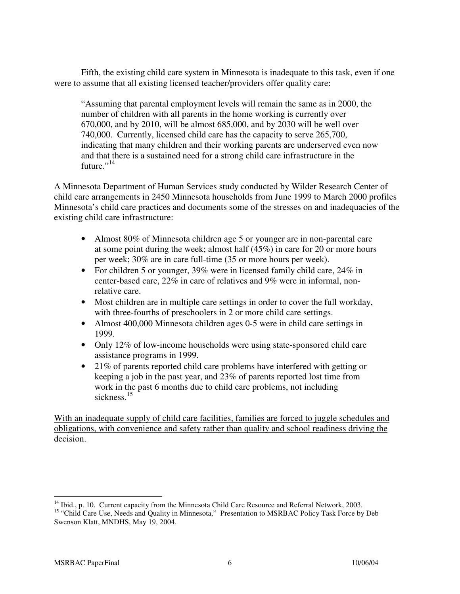Fifth, the existing child care system in Minnesota is inadequate to this task, even if one were to assume that all existing licensed teacher/providers offer quality care:

"Assuming that parental employment levels will remain the same as in 2000, the number of children with all parents in the home working is currently over 670,000, and by 2010, will be almost 685,000, and by 2030 will be well over 740,000. Currently, licensed child care has the capacity to serve 265,700, indicating that many children and their working parents are underserved even now and that there is a sustained need for a strong child care infrastructure in the future." $^{14}$ 

A Minnesota Department of Human Services study conducted by Wilder Research Center of child care arrangements in 2450 Minnesota households from June 1999 to March 2000 profiles Minnesota's child care practices and documents some of the stresses on and inadequacies of the existing child care infrastructure:

- Almost 80% of Minnesota children age 5 or younger are in non-parental care at some point during the week; almost half (45%) in care for 20 or more hours per week; 30% are in care full-time (35 or more hours per week).
- For children 5 or younger, 39% were in licensed family child care, 24% in center-based care, 22% in care of relatives and 9% were in informal, nonrelative care.
- Most children are in multiple care settings in order to cover the full workday, with three-fourths of preschoolers in 2 or more child care settings.
- Almost 400,000 Minnesota children ages 0-5 were in child care settings in 1999.
- Only 12% of low-income households were using state-sponsored child care assistance programs in 1999.
- 21% of parents reported child care problems have interfered with getting or keeping a job in the past year, and 23% of parents reported lost time from work in the past 6 months due to child care problems, not including sickness.<sup>15</sup>

With an inadequate supply of child care facilities, families are forced to juggle schedules and obligations, with convenience and safety rather than quality and school readiness driving the decision.

 $\overline{a}$ <sup>14</sup> Ibid., p. 10. Current capacity from the Minnesota Child Care Resource and Referral Network, 2003.

<sup>&</sup>lt;sup>15</sup> "Child Care Use, Needs and Quality in Minnesota," Presentation to MSRBAC Policy Task Force by Deb Swenson Klatt, MNDHS, May 19, 2004.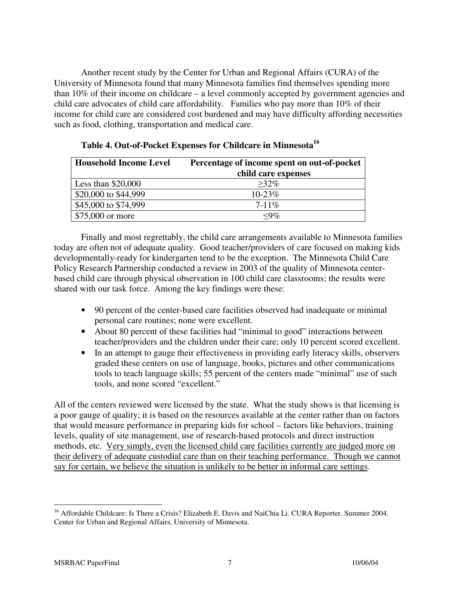Another recent study by the Center for Urban and Regional Affairs (CURA) of the University of Minnesota found that many Minnesota families find themselves spending more than 10% of their income on childcare – a level commonly accepted by government agencies and child care advocates of child care affordability. Families who pay more than 10% of their income for child care are considered cost burdened and may have difficulty affording necessities such as food, clothing, transportation and medical care.

| <b>Household Income Level</b> | Percentage of income spent on out-of-pocket |  |  |
|-------------------------------|---------------------------------------------|--|--|
|                               | child care expenses                         |  |  |
| Less than $$20,000$           | $>32\%$                                     |  |  |
| \$20,000 to \$44,999          | $10 - 23\%$                                 |  |  |
| \$45,000 to \$74,999          | $7 - 11\%$                                  |  |  |
| \$75,000 or more              | $\langle 9\%$                               |  |  |

|  |  | Table 4. Out-of-Pocket Expenses for Childcare in Minnesota <sup>16</sup> |  |  |  |
|--|--|--------------------------------------------------------------------------|--|--|--|
|--|--|--------------------------------------------------------------------------|--|--|--|

 Finally and most regrettably, the child care arrangements available to Minnesota families today are often not of adequate quality. Good teacher/providers of care focused on making kids developmentally-ready for kindergarten tend to be the exception. The Minnesota Child Care Policy Research Partnership conducted a review in 2003 of the quality of Minnesota centerbased child care through physical observation in 100 child care classrooms; the results were shared with our task force. Among the key findings were these:

- 90 percent of the center-based care facilities observed had inadequate or minimal personal care routines; none were excellent.
- About 80 percent of these facilities had "minimal to good" interactions between teacher/providers and the children under their care; only 10 percent scored excellent.
- In an attempt to gauge their effectiveness in providing early literacy skills, observers graded these centers on use of language, books, pictures and other communications tools to teach language skills; 55 percent of the centers made "minimal" use of such tools, and none scored "excellent."

All of the centers reviewed were licensed by the state. What the study shows is that licensing is a poor gauge of quality; it is based on the resources available at the center rather than on factors that would measure performance in preparing kids for school – factors like behaviors, training levels, quality of site management, use of research-based protocols and direct instruction methods, etc. Very simply, even the licensed child care facilities currently are judged more on their delivery of adequate custodial care than on their teaching performance. Though we cannot say for certain, we believe the situation is unlikely to be better in informal care settings.

 $\overline{a}$ <sup>16</sup> Affordable Childcare: Is There a Crisis? Elizabeth E. Davis and NaiChia Li. CURA Reporter. Summer 2004. Center for Urban and Regional Affairs, University of Minnesota.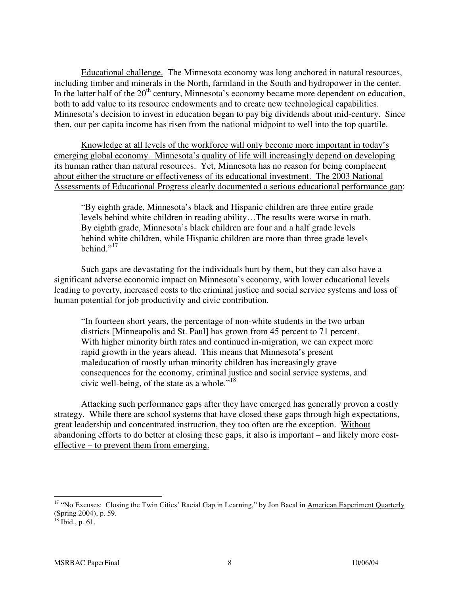Educational challenge. The Minnesota economy was long anchored in natural resources, including timber and minerals in the North, farmland in the South and hydropower in the center. In the latter half of the 20<sup>th</sup> century, Minnesota's economy became more dependent on education, both to add value to its resource endowments and to create new technological capabilities. Minnesota's decision to invest in education began to pay big dividends about mid-century. Since then, our per capita income has risen from the national midpoint to well into the top quartile.

 Knowledge at all levels of the workforce will only become more important in today's emerging global economy. Minnesota's quality of life will increasingly depend on developing its human rather than natural resources. Yet, Minnesota has no reason for being complacent about either the structure or effectiveness of its educational investment. The 2003 National Assessments of Educational Progress clearly documented a serious educational performance gap:

"By eighth grade, Minnesota's black and Hispanic children are three entire grade levels behind white children in reading ability…The results were worse in math. By eighth grade, Minnesota's black children are four and a half grade levels behind white children, while Hispanic children are more than three grade levels behind." $^{17}$ 

 Such gaps are devastating for the individuals hurt by them, but they can also have a significant adverse economic impact on Minnesota's economy, with lower educational levels leading to poverty, increased costs to the criminal justice and social service systems and loss of human potential for job productivity and civic contribution.

"In fourteen short years, the percentage of non-white students in the two urban districts [Minneapolis and St. Paul] has grown from 45 percent to 71 percent. With higher minority birth rates and continued in-migration, we can expect more rapid growth in the years ahead. This means that Minnesota's present maleducation of mostly urban minority children has increasingly grave consequences for the economy, criminal justice and social service systems, and civic well-being, of the state as a whole."<sup>18</sup>

 Attacking such performance gaps after they have emerged has generally proven a costly strategy. While there are school systems that have closed these gaps through high expectations, great leadership and concentrated instruction, they too often are the exception. Without abandoning efforts to do better at closing these gaps, it also is important – and likely more costeffective – to prevent them from emerging.

<sup>&</sup>lt;sup>17</sup> "No Excuses: Closing the Twin Cities' Racial Gap in Learning," by Jon Bacal in American Experiment Quarterly (Spring 2004), p. 59.

 $18$  Ibid., p. 61.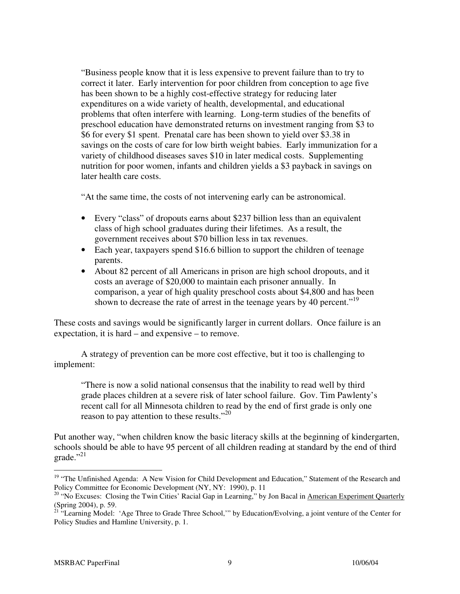"Business people know that it is less expensive to prevent failure than to try to correct it later. Early intervention for poor children from conception to age five has been shown to be a highly cost-effective strategy for reducing later expenditures on a wide variety of health, developmental, and educational problems that often interfere with learning. Long-term studies of the benefits of preschool education have demonstrated returns on investment ranging from \$3 to \$6 for every \$1 spent. Prenatal care has been shown to yield over \$3.38 in savings on the costs of care for low birth weight babies. Early immunization for a variety of childhood diseases saves \$10 in later medical costs. Supplementing nutrition for poor women, infants and children yields a \$3 payback in savings on later health care costs.

"At the same time, the costs of not intervening early can be astronomical.

- Every "class" of dropouts earns about \$237 billion less than an equivalent class of high school graduates during their lifetimes. As a result, the government receives about \$70 billion less in tax revenues.
- Each year, taxpayers spend \$16.6 billion to support the children of teenage parents.
- About 82 percent of all Americans in prison are high school dropouts, and it costs an average of \$20,000 to maintain each prisoner annually. In comparison, a year of high quality preschool costs about \$4,800 and has been shown to decrease the rate of arrest in the teenage years by 40 percent.<sup>"19</sup>

These costs and savings would be significantly larger in current dollars. Once failure is an expectation, it is hard – and expensive – to remove.

 A strategy of prevention can be more cost effective, but it too is challenging to implement:

"There is now a solid national consensus that the inability to read well by third grade places children at a severe risk of later school failure. Gov. Tim Pawlenty's recent call for all Minnesota children to read by the end of first grade is only one reason to pay attention to these results."<sup>20</sup>

Put another way, "when children know the basic literacy skills at the beginning of kindergarten, schools should be able to have 95 percent of all children reading at standard by the end of third grade."<sup>21</sup>

 $\overline{a}$ <sup>19</sup> "The Unfinished Agenda: A New Vision for Child Development and Education," Statement of the Research and Policy Committee for Economic Development (NY, NY: 1990), p. 11

<sup>&</sup>lt;sup>20</sup> "No Excuses: Closing the Twin Cities' Racial Gap in Learning," by Jon Bacal in American Experiment Quarterly (Spring 2004), p. 59.

<sup>&</sup>lt;sup>21</sup> "Learning Model: 'Age Three to Grade Three School,'" by Education/Evolving, a joint venture of the Center for Policy Studies and Hamline University, p. 1.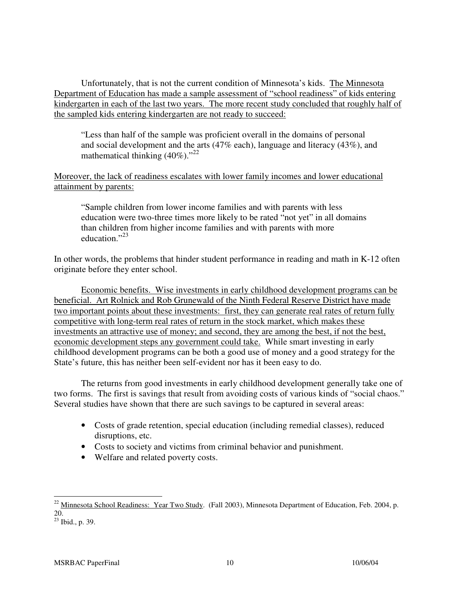Unfortunately, that is not the current condition of Minnesota's kids. The Minnesota Department of Education has made a sample assessment of "school readiness" of kids entering kindergarten in each of the last two years. The more recent study concluded that roughly half of the sampled kids entering kindergarten are not ready to succeed:

"Less than half of the sample was proficient overall in the domains of personal and social development and the arts (47% each), language and literacy (43%), and mathematical thinking  $(40\%)$ ."<sup>22</sup>

Moreover, the lack of readiness escalates with lower family incomes and lower educational attainment by parents:

"Sample children from lower income families and with parents with less education were two-three times more likely to be rated "not yet" in all domains than children from higher income families and with parents with more education."<sup>23</sup>

In other words, the problems that hinder student performance in reading and math in K-12 often originate before they enter school.

 Economic benefits. Wise investments in early childhood development programs can be beneficial. Art Rolnick and Rob Grunewald of the Ninth Federal Reserve District have made two important points about these investments: first, they can generate real rates of return fully competitive with long-term real rates of return in the stock market, which makes these investments an attractive use of money; and second, they are among the best, if not the best, economic development steps any government could take. While smart investing in early childhood development programs can be both a good use of money and a good strategy for the State's future, this has neither been self-evident nor has it been easy to do.

 The returns from good investments in early childhood development generally take one of two forms. The first is savings that result from avoiding costs of various kinds of "social chaos." Several studies have shown that there are such savings to be captured in several areas:

- Costs of grade retention, special education (including remedial classes), reduced disruptions, etc.
- Costs to society and victims from criminal behavior and punishment.
- Welfare and related poverty costs.

<sup>&</sup>lt;sup>22</sup> Minnesota School Readiness: Year Two Study. (Fall 2003), Minnesota Department of Education, Feb. 2004, p. 20.

 $^{20}$ .<br><sup>23</sup> Ibid., p. 39.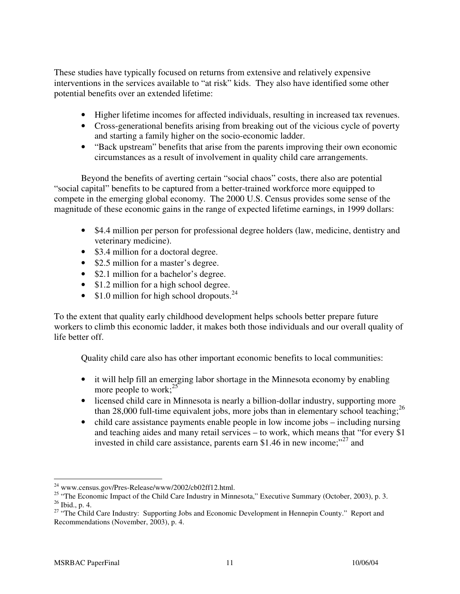These studies have typically focused on returns from extensive and relatively expensive interventions in the services available to "at risk" kids. They also have identified some other potential benefits over an extended lifetime:

- Higher lifetime incomes for affected individuals, resulting in increased tax revenues.
- Cross-generational benefits arising from breaking out of the vicious cycle of poverty and starting a family higher on the socio-economic ladder.
- "Back upstream" benefits that arise from the parents improving their own economic circumstances as a result of involvement in quality child care arrangements.

Beyond the benefits of averting certain "social chaos" costs, there also are potential "social capital" benefits to be captured from a better-trained workforce more equipped to compete in the emerging global economy. The 2000 U.S. Census provides some sense of the magnitude of these economic gains in the range of expected lifetime earnings, in 1999 dollars:

- \$4.4 million per person for professional degree holders (law, medicine, dentistry and veterinary medicine).
- \$3.4 million for a doctoral degree.
- \$2.5 million for a master's degree.
- \$2.1 million for a bachelor's degree.
- \$1.2 million for a high school degree.
- \$1.0 million for high school dropouts.<sup>24</sup>

To the extent that quality early childhood development helps schools better prepare future workers to climb this economic ladder, it makes both those individuals and our overall quality of life better off.

Quality child care also has other important economic benefits to local communities:

- it will help fill an emerging labor shortage in the Minnesota economy by enabling more people to work; $^{25}$
- licensed child care in Minnesota is nearly a billion-dollar industry, supporting more than 28,000 full-time equivalent jobs, more jobs than in elementary school teaching;<sup>26</sup>
- child care assistance payments enable people in low income jobs including nursing and teaching aides and many retail services – to work, which means that "for every \$1 invested in child care assistance, parents earn \$1.46 in new income; $^{27}$  and

 $\overline{a}$  $^{24}$  www.census.gov/Pres-Release/www/2002/cb02ff12.html.

<sup>&</sup>lt;sup>25</sup> "The Economic Impact of the Child Care Industry in Minnesota," Executive Summary (October, 2003), p. 3.  $^{26}$  Ibid., p. 4.

<sup>&</sup>lt;sup>27</sup> "The Child Care Industry: Supporting Jobs and Economic Development in Hennepin County." Report and Recommendations (November, 2003), p. 4.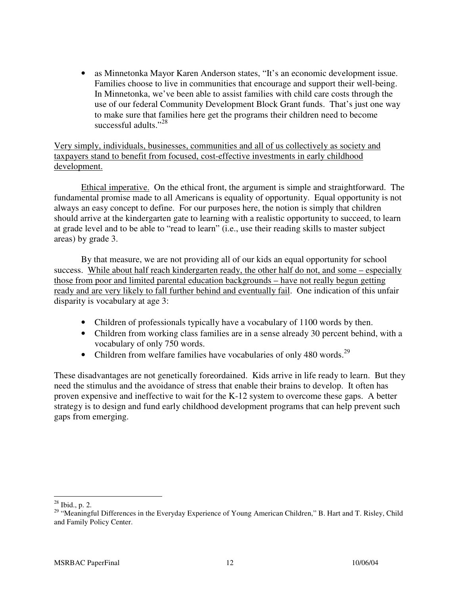• as Minnetonka Mayor Karen Anderson states, "It's an economic development issue. Families choose to live in communities that encourage and support their well-being. In Minnetonka, we've been able to assist families with child care costs through the use of our federal Community Development Block Grant funds. That's just one way to make sure that families here get the programs their children need to become successful adults."<sup>28</sup>

Very simply, individuals, businesses, communities and all of us collectively as society and taxpayers stand to benefit from focused, cost-effective investments in early childhood development.

 Ethical imperative. On the ethical front, the argument is simple and straightforward. The fundamental promise made to all Americans is equality of opportunity. Equal opportunity is not always an easy concept to define. For our purposes here, the notion is simply that children should arrive at the kindergarten gate to learning with a realistic opportunity to succeed, to learn at grade level and to be able to "read to learn" (i.e., use their reading skills to master subject areas) by grade 3.

 By that measure, we are not providing all of our kids an equal opportunity for school success. While about half reach kindergarten ready, the other half do not, and some – especially those from poor and limited parental education backgrounds – have not really begun getting ready and are very likely to fall further behind and eventually fail. One indication of this unfair disparity is vocabulary at age 3:

- Children of professionals typically have a vocabulary of 1100 words by then.
- Children from working class families are in a sense already 30 percent behind, with a vocabulary of only 750 words.
- Children from welfare families have vocabularies of only 480 words.<sup>29</sup>

These disadvantages are not genetically foreordained. Kids arrive in life ready to learn. But they need the stimulus and the avoidance of stress that enable their brains to develop. It often has proven expensive and ineffective to wait for the K-12 system to overcome these gaps. A better strategy is to design and fund early childhood development programs that can help prevent such gaps from emerging.

 $28$  Ibid., p. 2.

<sup>&</sup>lt;sup>29</sup> "Meaningful Differences in the Everyday Experience of Young American Children," B. Hart and T. Risley, Child and Family Policy Center.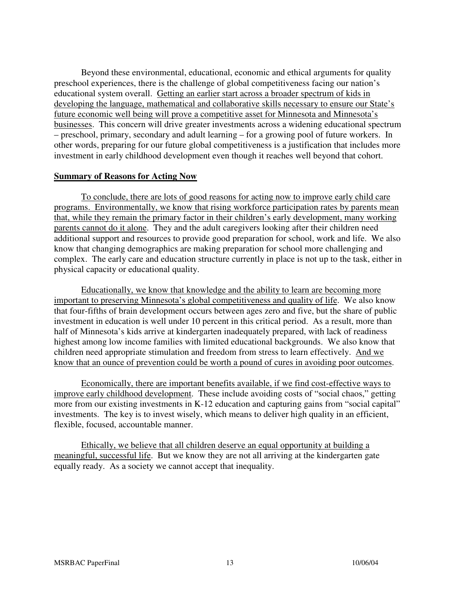Beyond these environmental, educational, economic and ethical arguments for quality preschool experiences, there is the challenge of global competitiveness facing our nation's educational system overall. Getting an earlier start across a broader spectrum of kids in developing the language, mathematical and collaborative skills necessary to ensure our State's future economic well being will prove a competitive asset for Minnesota and Minnesota's businesses. This concern will drive greater investments across a widening educational spectrum – preschool, primary, secondary and adult learning – for a growing pool of future workers. In other words, preparing for our future global competitiveness is a justification that includes more investment in early childhood development even though it reaches well beyond that cohort.

#### **Summary of Reasons for Acting Now**

 To conclude, there are lots of good reasons for acting now to improve early child care programs. Environmentally, we know that rising workforce participation rates by parents mean that, while they remain the primary factor in their children's early development, many working parents cannot do it alone. They and the adult caregivers looking after their children need additional support and resources to provide good preparation for school, work and life. We also know that changing demographics are making preparation for school more challenging and complex. The early care and education structure currently in place is not up to the task, either in physical capacity or educational quality.

 Educationally, we know that knowledge and the ability to learn are becoming more important to preserving Minnesota's global competitiveness and quality of life. We also know that four-fifths of brain development occurs between ages zero and five, but the share of public investment in education is well under 10 percent in this critical period. As a result, more than half of Minnesota's kids arrive at kindergarten inadequately prepared, with lack of readiness highest among low income families with limited educational backgrounds. We also know that children need appropriate stimulation and freedom from stress to learn effectively. And we know that an ounce of prevention could be worth a pound of cures in avoiding poor outcomes.

 Economically, there are important benefits available, if we find cost-effective ways to improve early childhood development. These include avoiding costs of "social chaos," getting more from our existing investments in K-12 education and capturing gains from "social capital" investments. The key is to invest wisely, which means to deliver high quality in an efficient, flexible, focused, accountable manner.

 Ethically, we believe that all children deserve an equal opportunity at building a meaningful, successful life. But we know they are not all arriving at the kindergarten gate equally ready. As a society we cannot accept that inequality.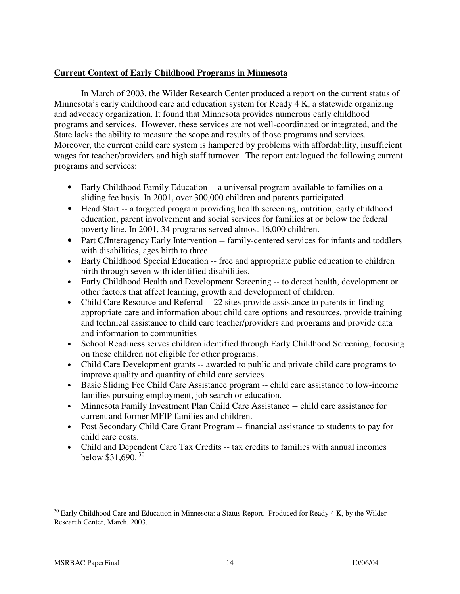## **Current Context of Early Childhood Programs in Minnesota**

 In March of 2003, the Wilder Research Center produced a report on the current status of Minnesota's early childhood care and education system for Ready 4 K, a statewide organizing and advocacy organization. It found that Minnesota provides numerous early childhood programs and services. However, these services are not well-coordinated or integrated, and the State lacks the ability to measure the scope and results of those programs and services. Moreover, the current child care system is hampered by problems with affordability, insufficient wages for teacher/providers and high staff turnover. The report catalogued the following current programs and services:

- Early Childhood Family Education -- a universal program available to families on a sliding fee basis. In 2001, over 300,000 children and parents participated.
- Head Start -- a targeted program providing health screening, nutrition, early childhood education, parent involvement and social services for families at or below the federal poverty line. In 2001, 34 programs served almost 16,000 children.
- Part C/Interagency Early Intervention -- family-centered services for infants and toddlers with disabilities, ages birth to three.
- Early Childhood Special Education -- free and appropriate public education to children birth through seven with identified disabilities.
- Early Childhood Health and Development Screening -- to detect health, development or other factors that affect learning, growth and development of children.
- Child Care Resource and Referral -- 22 sites provide assistance to parents in finding appropriate care and information about child care options and resources, provide training and technical assistance to child care teacher/providers and programs and provide data and information to communities
- School Readiness serves children identified through Early Childhood Screening, focusing on those children not eligible for other programs.
- Child Care Development grants -- awarded to public and private child care programs to improve quality and quantity of child care services.
- Basic Sliding Fee Child Care Assistance program -- child care assistance to low-income families pursuing employment, job search or education.
- Minnesota Family Investment Plan Child Care Assistance -- child care assistance for current and former MFIP families and children.
- Post Secondary Child Care Grant Program -- financial assistance to students to pay for child care costs.
- Child and Dependent Care Tax Credits -- tax credits to families with annual incomes below \$31,690.<sup>30</sup>

 $30$  Early Childhood Care and Education in Minnesota: a Status Report. Produced for Ready 4 K, by the Wilder Research Center, March, 2003.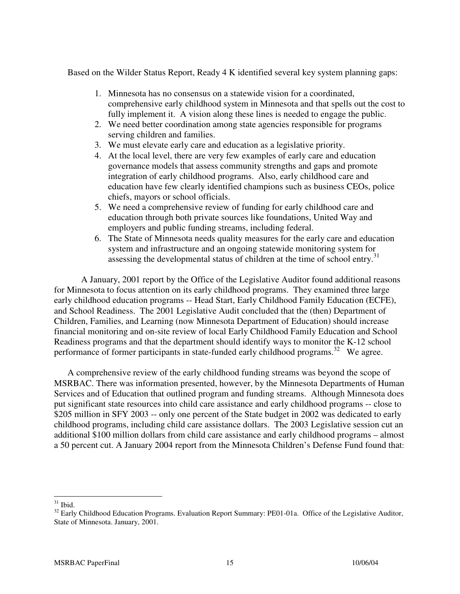Based on the Wilder Status Report, Ready 4 K identified several key system planning gaps:

- 1. Minnesota has no consensus on a statewide vision for a coordinated, comprehensive early childhood system in Minnesota and that spells out the cost to fully implement it. A vision along these lines is needed to engage the public.
- 2. We need better coordination among state agencies responsible for programs serving children and families.
- 3. We must elevate early care and education as a legislative priority.
- 4. At the local level, there are very few examples of early care and education governance models that assess community strengths and gaps and promote integration of early childhood programs. Also, early childhood care and education have few clearly identified champions such as business CEOs, police chiefs, mayors or school officials.
- 5. We need a comprehensive review of funding for early childhood care and education through both private sources like foundations, United Way and employers and public funding streams, including federal.
- 6. The State of Minnesota needs quality measures for the early care and education system and infrastructure and an ongoing statewide monitoring system for assessing the developmental status of children at the time of school entry.<sup>31</sup>

A January, 2001 report by the Office of the Legislative Auditor found additional reasons for Minnesota to focus attention on its early childhood programs. They examined three large early childhood education programs -- Head Start, Early Childhood Family Education (ECFE), and School Readiness. The 2001 Legislative Audit concluded that the (then) Department of Children, Families, and Learning (now Minnesota Department of Education) should increase financial monitoring and on-site review of local Early Childhood Family Education and School Readiness programs and that the department should identify ways to monitor the K-12 school performance of former participants in state-funded early childhood programs.<sup>32</sup> We agree.

A comprehensive review of the early childhood funding streams was beyond the scope of MSRBAC. There was information presented, however, by the Minnesota Departments of Human Services and of Education that outlined program and funding streams. Although Minnesota does put significant state resources into child care assistance and early childhood programs -- close to \$205 million in SFY 2003 -- only one percent of the State budget in 2002 was dedicated to early childhood programs, including child care assistance dollars. The 2003 Legislative session cut an additional \$100 million dollars from child care assistance and early childhood programs – almost a 50 percent cut. A January 2004 report from the Minnesota Children's Defense Fund found that:

 $\overline{a}$  $31$  Ibid.

<sup>&</sup>lt;sup>32</sup> Early Childhood Education Programs. Evaluation Report Summary: PE01-01a. Office of the Legislative Auditor, State of Minnesota. January, 2001.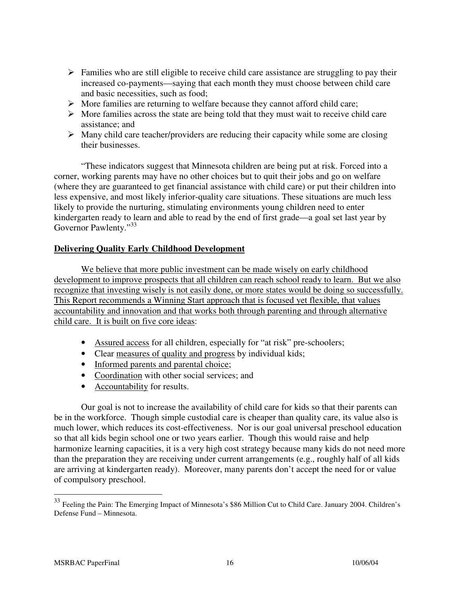- $\triangleright$  Families who are still eligible to receive child care assistance are struggling to pay their increased co-payments—saying that each month they must choose between child care and basic necessities, such as food;
- $\triangleright$  More families are returning to welfare because they cannot afford child care;
- $\triangleright$  More families across the state are being told that they must wait to receive child care assistance; and
- $\triangleright$  Many child care teacher/providers are reducing their capacity while some are closing their businesses.

"These indicators suggest that Minnesota children are being put at risk. Forced into a corner, working parents may have no other choices but to quit their jobs and go on welfare (where they are guaranteed to get financial assistance with child care) or put their children into less expensive, and most likely inferior-quality care situations. These situations are much less likely to provide the nurturing, stimulating environments young children need to enter kindergarten ready to learn and able to read by the end of first grade—a goal set last year by Governor Pawlenty."<sup>33</sup>

## **Delivering Quality Early Childhood Development**

We believe that more public investment can be made wisely on early childhood development to improve prospects that all children can reach school ready to learn. But we also recognize that investing wisely is not easily done, or more states would be doing so successfully. This Report recommends a Winning Start approach that is focused yet flexible, that values accountability and innovation and that works both through parenting and through alternative child care. It is built on five core ideas:

- Assured access for all children, especially for "at risk" pre-schoolers;
- Clear measures of quality and progress by individual kids;
- Informed parents and parental choice;
- Coordination with other social services; and
- Accountability for results.

 Our goal is not to increase the availability of child care for kids so that their parents can be in the workforce. Though simple custodial care is cheaper than quality care, its value also is much lower, which reduces its cost-effectiveness. Nor is our goal universal preschool education so that all kids begin school one or two years earlier. Though this would raise and help harmonize learning capacities, it is a very high cost strategy because many kids do not need more than the preparation they are receiving under current arrangements (e.g., roughly half of all kids are arriving at kindergarten ready). Moreover, many parents don't accept the need for or value of compulsory preschool.

<sup>&</sup>lt;sup>33</sup> Feeling the Pain: The Emerging Impact of Minnesota's \$86 Million Cut to Child Care. January 2004. Children's Defense Fund – Minnesota.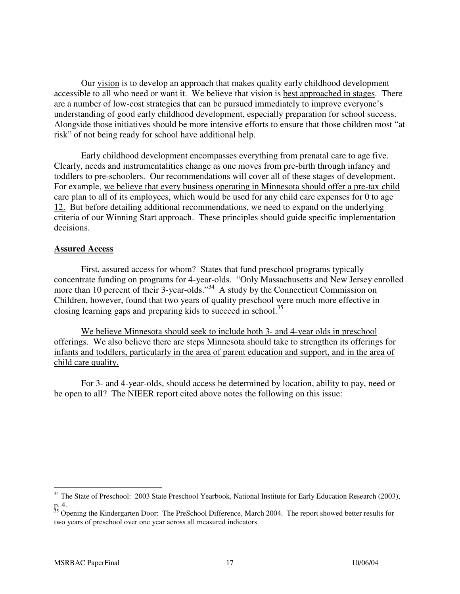Our vision is to develop an approach that makes quality early childhood development accessible to all who need or want it. We believe that vision is best approached in stages. There are a number of low-cost strategies that can be pursued immediately to improve everyone's understanding of good early childhood development, especially preparation for school success. Alongside those initiatives should be more intensive efforts to ensure that those children most "at risk" of not being ready for school have additional help.

 Early childhood development encompasses everything from prenatal care to age five. Clearly, needs and instrumentalities change as one moves from pre-birth through infancy and toddlers to pre-schoolers. Our recommendations will cover all of these stages of development. For example, we believe that every business operating in Minnesota should offer a pre-tax child care plan to all of its employees, which would be used for any child care expenses for 0 to age 12. But before detailing additional recommendations, we need to expand on the underlying criteria of our Winning Start approach. These principles should guide specific implementation decisions.

## **Assured Access**

First, assured access for whom? States that fund preschool programs typically concentrate funding on programs for 4-year-olds. "Only Massachusetts and New Jersey enrolled more than 10 percent of their 3-year-olds."<sup>34</sup> A study by the Connecticut Commission on Children, however, found that two years of quality preschool were much more effective in closing learning gaps and preparing kids to succeed in school.<sup>35</sup>

We believe Minnesota should seek to include both 3- and 4-year olds in preschool offerings. We also believe there are steps Minnesota should take to strengthen its offerings for infants and toddlers, particularly in the area of parent education and support, and in the area of child care quality.

For 3- and 4-year-olds, should access be determined by location, ability to pay, need or be open to all? The NIEER report cited above notes the following on this issue:

<sup>&</sup>lt;sup>34</sup> The State of Preschool: 2003 State Preschool Yearbook, National Institute for Early Education Research (2003), p. 4.

<sup>&</sup>lt;sup>35</sup> Opening the Kindergarten Door: The PreSchool Difference, March 2004. The report showed better results for two years of preschool over one year across all measured indicators.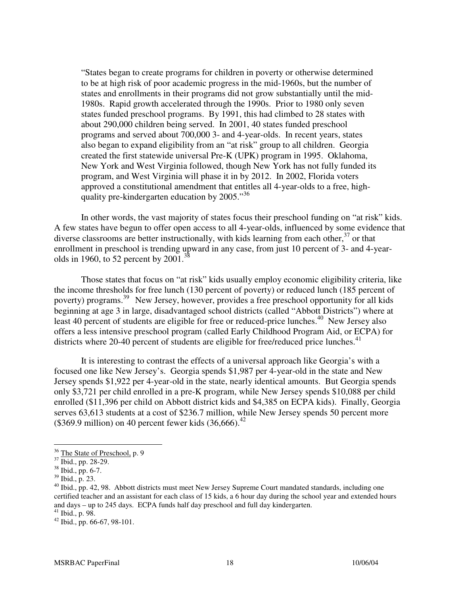"States began to create programs for children in poverty or otherwise determined to be at high risk of poor academic progress in the mid-1960s, but the number of states and enrollments in their programs did not grow substantially until the mid-1980s. Rapid growth accelerated through the 1990s. Prior to 1980 only seven states funded preschool programs. By 1991, this had climbed to 28 states with about 290,000 children being served. In 2001, 40 states funded preschool programs and served about 700,000 3- and 4-year-olds. In recent years, states also began to expand eligibility from an "at risk" group to all children. Georgia created the first statewide universal Pre-K (UPK) program in 1995. Oklahoma, New York and West Virginia followed, though New York has not fully funded its program, and West Virginia will phase it in by 2012. In 2002, Florida voters approved a constitutional amendment that entitles all 4-year-olds to a free, highquality pre-kindergarten education by 2005."<sup>36</sup>

 In other words, the vast majority of states focus their preschool funding on "at risk" kids. A few states have begun to offer open access to all 4-year-olds, influenced by some evidence that diverse classrooms are better instructionally, with kids learning from each other,  $37$  or that enrollment in preschool is trending upward in any case, from just 10 percent of 3- and 4-yearolds in 1960, to 52 percent by 2001.<sup>38</sup>

 Those states that focus on "at risk" kids usually employ economic eligibility criteria, like the income thresholds for free lunch (130 percent of poverty) or reduced lunch (185 percent of poverty) programs.<sup>39</sup> New Jersey, however, provides a free preschool opportunity for all kids beginning at age 3 in large, disadvantaged school districts (called "Abbott Districts") where at least 40 percent of students are eligible for free or reduced-price lunches.<sup>40</sup> New Jersey also offers a less intensive preschool program (called Early Childhood Program Aid, or ECPA) for districts where 20-40 percent of students are eligible for free/reduced price lunches.<sup>41</sup>

 It is interesting to contrast the effects of a universal approach like Georgia's with a focused one like New Jersey's. Georgia spends \$1,987 per 4-year-old in the state and New Jersey spends \$1,922 per 4-year-old in the state, nearly identical amounts. But Georgia spends only \$3,721 per child enrolled in a pre-K program, while New Jersey spends \$10,088 per child enrolled (\$11,396 per child on Abbott district kids and \$4,385 on ECPA kids). Finally, Georgia serves 63,613 students at a cost of \$236.7 million, while New Jersey spends 50 percent more (\$369.9 million) on 40 percent fewer kids  $(36,666)^{42}$ 

<sup>&</sup>lt;sup>36</sup> The State of Preschool, p. 9

 $37$  Ibid., pp. 28-29.

 $38$  Ibid., pp. 6-7.

<sup>39</sup> Ibid., p. 23.

<sup>&</sup>lt;sup>40</sup> Ibid., pp. 42, 98. Abbott districts must meet New Jersey Supreme Court mandated standards, including one certified teacher and an assistant for each class of 15 kids, a 6 hour day during the school year and extended hours and days – up to 245 days. ECPA funds half day preschool and full day kindergarten.

 $41$  Ibid., p. 98.

 $42$  Ibid., pp. 66-67, 98-101.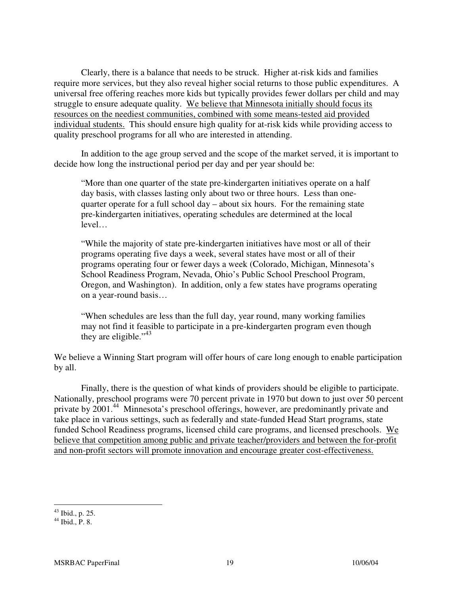Clearly, there is a balance that needs to be struck. Higher at-risk kids and families require more services, but they also reveal higher social returns to those public expenditures. A universal free offering reaches more kids but typically provides fewer dollars per child and may struggle to ensure adequate quality. We believe that Minnesota initially should focus its resources on the neediest communities, combined with some means-tested aid provided individual students. This should ensure high quality for at-risk kids while providing access to quality preschool programs for all who are interested in attending.

 In addition to the age group served and the scope of the market served, it is important to decide how long the instructional period per day and per year should be:

"More than one quarter of the state pre-kindergarten initiatives operate on a half day basis, with classes lasting only about two or three hours. Less than onequarter operate for a full school day – about six hours. For the remaining state pre-kindergarten initiatives, operating schedules are determined at the local level…

"While the majority of state pre-kindergarten initiatives have most or all of their programs operating five days a week, several states have most or all of their programs operating four or fewer days a week (Colorado, Michigan, Minnesota's School Readiness Program, Nevada, Ohio's Public School Preschool Program, Oregon, and Washington). In addition, only a few states have programs operating on a year-round basis…

"When schedules are less than the full day, year round, many working families may not find it feasible to participate in a pre-kindergarten program even though they are eligible."<sup>43</sup>

We believe a Winning Start program will offer hours of care long enough to enable participation by all.

 Finally, there is the question of what kinds of providers should be eligible to participate. Nationally, preschool programs were 70 percent private in 1970 but down to just over 50 percent private by 2001.<sup>44</sup> Minnesota's preschool offerings, however, are predominantly private and take place in various settings, such as federally and state-funded Head Start programs, state funded School Readiness programs, licensed child care programs, and licensed preschools. We believe that competition among public and private teacher/providers and between the for-profit and non-profit sectors will promote innovation and encourage greater cost-effectiveness.

 $\overline{a}$  $43$  Ibid., p. 25.

 $44$  Ibid., P. 8.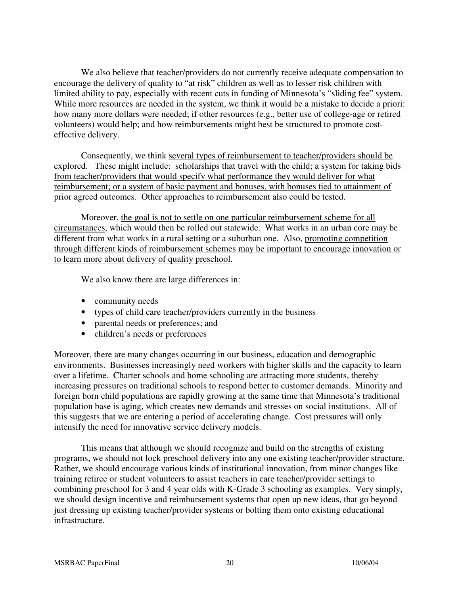We also believe that teacher/providers do not currently receive adequate compensation to encourage the delivery of quality to "at risk" children as well as to lesser risk children with limited ability to pay, especially with recent cuts in funding of Minnesota's "sliding fee" system. While more resources are needed in the system, we think it would be a mistake to decide a priori: how many more dollars were needed; if other resources (e.g., better use of college-age or retired volunteers) would help; and how reimbursements might best be structured to promote costeffective delivery.

 Consequently, we think several types of reimbursement to teacher/providers should be explored. These might include: scholarships that travel with the child; a system for taking bids from teacher/providers that would specify what performance they would deliver for what reimbursement; or a system of basic payment and bonuses, with bonuses tied to attainment of prior agreed outcomes. Other approaches to reimbursement also could be tested.

 Moreover, the goal is not to settle on one particular reimbursement scheme for all circumstances, which would then be rolled out statewide. What works in an urban core may be different from what works in a rural setting or a suburban one. Also, promoting competition through different kinds of reimbursement schemes may be important to encourage innovation or to learn more about delivery of quality preschool.

We also know there are large differences in:

- community needs
- types of child care teacher/providers currently in the business
- parental needs or preferences; and
- children's needs or preferences

Moreover, there are many changes occurring in our business, education and demographic environments. Businesses increasingly need workers with higher skills and the capacity to learn over a lifetime. Charter schools and home schooling are attracting more students, thereby increasing pressures on traditional schools to respond better to customer demands. Minority and foreign born child populations are rapidly growing at the same time that Minnesota's traditional population base is aging, which creates new demands and stresses on social institutions. All of this suggests that we are entering a period of accelerating change. Cost pressures will only intensify the need for innovative service delivery models.

This means that although we should recognize and build on the strengths of existing programs, we should not lock preschool delivery into any one existing teacher/provider structure. Rather, we should encourage various kinds of institutional innovation, from minor changes like training retiree or student volunteers to assist teachers in care teacher/provider settings to combining preschool for 3 and 4 year olds with K-Grade 3 schooling as examples. Very simply, we should design incentive and reimbursement systems that open up new ideas, that go beyond just dressing up existing teacher/provider systems or bolting them onto existing educational infrastructure.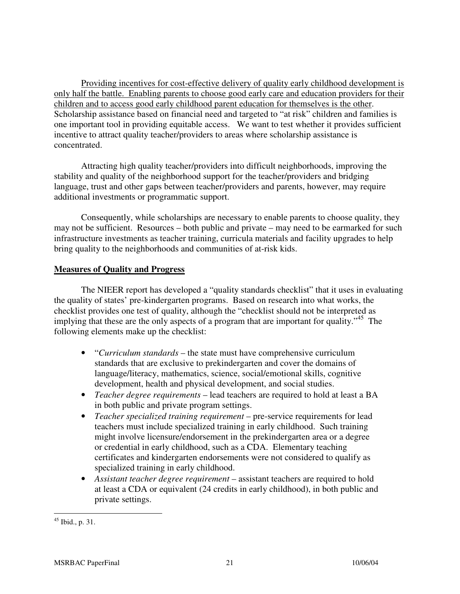Providing incentives for cost-effective delivery of quality early childhood development is only half the battle. Enabling parents to choose good early care and education providers for their children and to access good early childhood parent education for themselves is the other. Scholarship assistance based on financial need and targeted to "at risk" children and families is one important tool in providing equitable access. We want to test whether it provides sufficient incentive to attract quality teacher/providers to areas where scholarship assistance is concentrated.

 Attracting high quality teacher/providers into difficult neighborhoods, improving the stability and quality of the neighborhood support for the teacher/providers and bridging language, trust and other gaps between teacher/providers and parents, however, may require additional investments or programmatic support.

 Consequently, while scholarships are necessary to enable parents to choose quality, they may not be sufficient. Resources – both public and private – may need to be earmarked for such infrastructure investments as teacher training, curricula materials and facility upgrades to help bring quality to the neighborhoods and communities of at-risk kids.

## **Measures of Quality and Progress**

 The NIEER report has developed a "quality standards checklist" that it uses in evaluating the quality of states' pre-kindergarten programs. Based on research into what works, the checklist provides one test of quality, although the "checklist should not be interpreted as implying that these are the only aspects of a program that are important for quality."<sup>45</sup> The following elements make up the checklist:

- "*Curriculum standards* the state must have comprehensive curriculum standards that are exclusive to prekindergarten and cover the domains of language/literacy, mathematics, science, social/emotional skills, cognitive development, health and physical development, and social studies.
- *Teacher degree requirements* lead teachers are required to hold at least a BA in both public and private program settings.
- *Teacher specialized training requirement* pre-service requirements for lead teachers must include specialized training in early childhood. Such training might involve licensure/endorsement in the prekindergarten area or a degree or credential in early childhood, such as a CDA. Elementary teaching certificates and kindergarten endorsements were not considered to qualify as specialized training in early childhood.
- *Assistant teacher degree requirement* assistant teachers are required to hold at least a CDA or equivalent (24 credits in early childhood), in both public and private settings.

 $\overline{a}$ <sup>45</sup> Ibid., p. 31.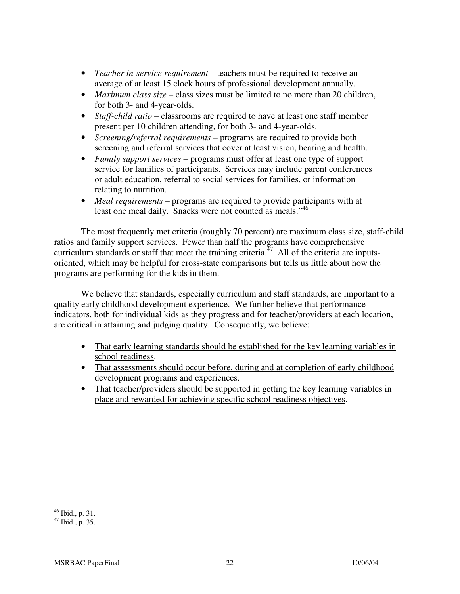- *Teacher in-service requirement* teachers must be required to receive an average of at least 15 clock hours of professional development annually.
- *Maximum class size* class sizes must be limited to no more than 20 children, for both 3- and 4-year-olds.
- *Staff-child ratio* classrooms are required to have at least one staff member present per 10 children attending, for both 3- and 4-year-olds.
- *Screening/referral requirements* programs are required to provide both screening and referral services that cover at least vision, hearing and health.
- *Family support services* programs must offer at least one type of support service for families of participants. Services may include parent conferences or adult education, referral to social services for families, or information relating to nutrition.
- *Meal requirements* programs are required to provide participants with at least one meal daily. Snacks were not counted as meals."<sup>46</sup>

The most frequently met criteria (roughly 70 percent) are maximum class size, staff-child ratios and family support services. Fewer than half the programs have comprehensive curriculum standards or staff that meet the training criteria.<sup>47</sup> All of the criteria are inputsoriented, which may be helpful for cross-state comparisons but tells us little about how the programs are performing for the kids in them.

We believe that standards, especially curriculum and staff standards, are important to a quality early childhood development experience. We further believe that performance indicators, both for individual kids as they progress and for teacher/providers at each location, are critical in attaining and judging quality. Consequently, we believe:

- That early learning standards should be established for the key learning variables in school readiness.
- That assessments should occur before, during and at completion of early childhood development programs and experiences.
- That teacher/providers should be supported in getting the key learning variables in place and rewarded for achieving specific school readiness objectives.

 $\overline{a}$  $46$  Ibid., p. 31.

 $47$  Ibid., p. 35.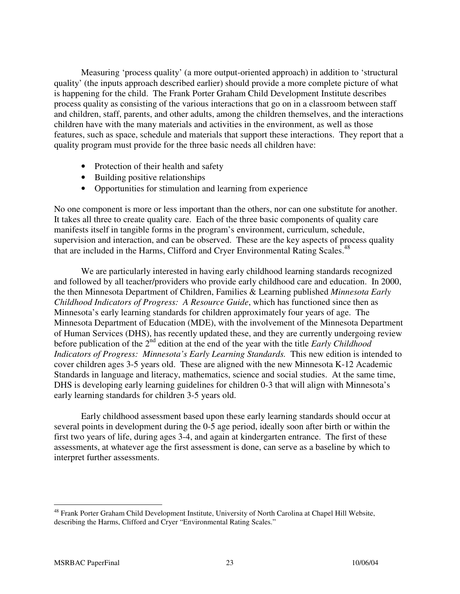Measuring 'process quality' (a more output-oriented approach) in addition to 'structural quality' (the inputs approach described earlier) should provide a more complete picture of what is happening for the child. The Frank Porter Graham Child Development Institute describes process quality as consisting of the various interactions that go on in a classroom between staff and children, staff, parents, and other adults, among the children themselves, and the interactions children have with the many materials and activities in the environment, as well as those features, such as space, schedule and materials that support these interactions. They report that a quality program must provide for the three basic needs all children have:

- Protection of their health and safety
- Building positive relationships
- Opportunities for stimulation and learning from experience

No one component is more or less important than the others, nor can one substitute for another. It takes all three to create quality care. Each of the three basic components of quality care manifests itself in tangible forms in the program's environment, curriculum, schedule, supervision and interaction, and can be observed. These are the key aspects of process quality that are included in the Harms, Clifford and Cryer Environmental Rating Scales.<sup>48</sup>

We are particularly interested in having early childhood learning standards recognized and followed by all teacher/providers who provide early childhood care and education. In 2000, the then Minnesota Department of Children, Families & Learning published *Minnesota Early Childhood Indicators of Progress: A Resource Guide*, which has functioned since then as Minnesota's early learning standards for children approximately four years of age. The Minnesota Department of Education (MDE), with the involvement of the Minnesota Department of Human Services (DHS), has recently updated these, and they are currently undergoing review before publication of the 2<sup>nd</sup> edition at the end of the year with the title *Early Childhood Indicators of Progress: Minnesota's Early Learning Standards.* This new edition is intended to cover children ages 3-5 years old. These are aligned with the new Minnesota K-12 Academic Standards in language and literacy, mathematics, science and social studies. At the same time, DHS is developing early learning guidelines for children 0-3 that will align with Minnesota's early learning standards for children 3-5 years old.

 Early childhood assessment based upon these early learning standards should occur at several points in development during the 0-5 age period, ideally soon after birth or within the first two years of life, during ages 3-4, and again at kindergarten entrance. The first of these assessments, at whatever age the first assessment is done, can serve as a baseline by which to interpret further assessments.

 $\overline{a}$ <sup>48</sup> Frank Porter Graham Child Development Institute, University of North Carolina at Chapel Hill Website, describing the Harms, Clifford and Cryer "Environmental Rating Scales."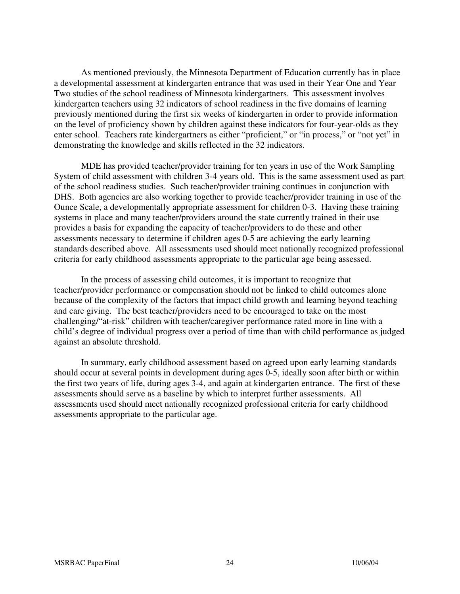As mentioned previously, the Minnesota Department of Education currently has in place a developmental assessment at kindergarten entrance that was used in their Year One and Year Two studies of the school readiness of Minnesota kindergartners. This assessment involves kindergarten teachers using 32 indicators of school readiness in the five domains of learning previously mentioned during the first six weeks of kindergarten in order to provide information on the level of proficiency shown by children against these indicators for four-year-olds as they enter school. Teachers rate kindergartners as either "proficient," or "in process," or "not yet" in demonstrating the knowledge and skills reflected in the 32 indicators.

 MDE has provided teacher/provider training for ten years in use of the Work Sampling System of child assessment with children 3-4 years old. This is the same assessment used as part of the school readiness studies. Such teacher/provider training continues in conjunction with DHS. Both agencies are also working together to provide teacher/provider training in use of the Ounce Scale, a developmentally appropriate assessment for children 0-3. Having these training systems in place and many teacher/providers around the state currently trained in their use provides a basis for expanding the capacity of teacher/providers to do these and other assessments necessary to determine if children ages 0-5 are achieving the early learning standards described above. All assessments used should meet nationally recognized professional criteria for early childhood assessments appropriate to the particular age being assessed.

 In the process of assessing child outcomes, it is important to recognize that teacher/provider performance or compensation should not be linked to child outcomes alone because of the complexity of the factors that impact child growth and learning beyond teaching and care giving. The best teacher/providers need to be encouraged to take on the most challenging/"at-risk" children with teacher/caregiver performance rated more in line with a child's degree of individual progress over a period of time than with child performance as judged against an absolute threshold.

 In summary, early childhood assessment based on agreed upon early learning standards should occur at several points in development during ages 0-5, ideally soon after birth or within the first two years of life, during ages 3-4, and again at kindergarten entrance. The first of these assessments should serve as a baseline by which to interpret further assessments. All assessments used should meet nationally recognized professional criteria for early childhood assessments appropriate to the particular age.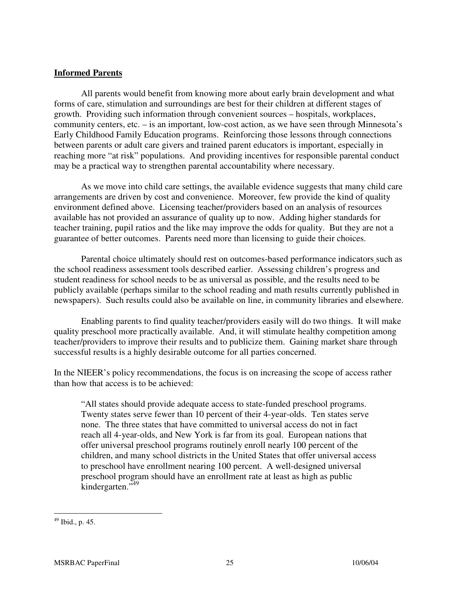### **Informed Parents**

 All parents would benefit from knowing more about early brain development and what forms of care, stimulation and surroundings are best for their children at different stages of growth. Providing such information through convenient sources – hospitals, workplaces, community centers, etc. – is an important, low-cost action, as we have seen through Minnesota's Early Childhood Family Education programs. Reinforcing those lessons through connections between parents or adult care givers and trained parent educators is important, especially in reaching more "at risk" populations. And providing incentives for responsible parental conduct may be a practical way to strengthen parental accountability where necessary.

 As we move into child care settings, the available evidence suggests that many child care arrangements are driven by cost and convenience. Moreover, few provide the kind of quality environment defined above. Licensing teacher/providers based on an analysis of resources available has not provided an assurance of quality up to now. Adding higher standards for teacher training, pupil ratios and the like may improve the odds for quality. But they are not a guarantee of better outcomes. Parents need more than licensing to guide their choices.

 Parental choice ultimately should rest on outcomes-based performance indicators such as the school readiness assessment tools described earlier. Assessing children's progress and student readiness for school needs to be as universal as possible, and the results need to be publicly available (perhaps similar to the school reading and math results currently published in newspapers). Such results could also be available on line, in community libraries and elsewhere.

 Enabling parents to find quality teacher/providers easily will do two things. It will make quality preschool more practically available. And, it will stimulate healthy competition among teacher/providers to improve their results and to publicize them. Gaining market share through successful results is a highly desirable outcome for all parties concerned.

In the NIEER's policy recommendations, the focus is on increasing the scope of access rather than how that access is to be achieved:

"All states should provide adequate access to state-funded preschool programs. Twenty states serve fewer than 10 percent of their 4-year-olds. Ten states serve none. The three states that have committed to universal access do not in fact reach all 4-year-olds, and New York is far from its goal. European nations that offer universal preschool programs routinely enroll nearly 100 percent of the children, and many school districts in the United States that offer universal access to preschool have enrollment nearing 100 percent. A well-designed universal preschool program should have an enrollment rate at least as high as public kindergarten." 49

 $49$  Ibid., p. 45.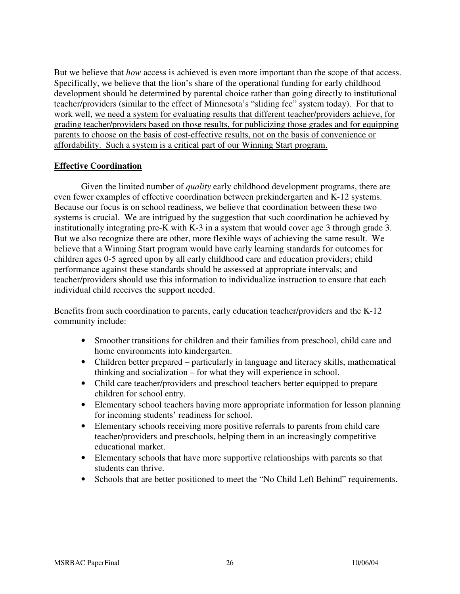But we believe that *how* access is achieved is even more important than the scope of that access. Specifically, we believe that the lion's share of the operational funding for early childhood development should be determined by parental choice rather than going directly to institutional teacher/providers (similar to the effect of Minnesota's "sliding fee" system today). For that to work well, we need a system for evaluating results that different teacher/providers achieve, for grading teacher/providers based on those results, for publicizing those grades and for equipping parents to choose on the basis of cost-effective results, not on the basis of convenience or affordability. Such a system is a critical part of our Winning Start program.

### **Effective Coordination**

 Given the limited number of *quality* early childhood development programs, there are even fewer examples of effective coordination between prekindergarten and K-12 systems. Because our focus is on school readiness, we believe that coordination between these two systems is crucial. We are intrigued by the suggestion that such coordination be achieved by institutionally integrating pre-K with K-3 in a system that would cover age 3 through grade 3. But we also recognize there are other, more flexible ways of achieving the same result. We believe that a Winning Start program would have early learning standards for outcomes for children ages 0-5 agreed upon by all early childhood care and education providers; child performance against these standards should be assessed at appropriate intervals; and teacher/providers should use this information to individualize instruction to ensure that each individual child receives the support needed.

Benefits from such coordination to parents, early education teacher/providers and the K-12 community include:

- Smoother transitions for children and their families from preschool, child care and home environments into kindergarten.
- Children better prepared particularly in language and literacy skills, mathematical thinking and socialization – for what they will experience in school.
- Child care teacher/providers and preschool teachers better equipped to prepare children for school entry.
- Elementary school teachers having more appropriate information for lesson planning for incoming students' readiness for school.
- Elementary schools receiving more positive referrals to parents from child care teacher/providers and preschools, helping them in an increasingly competitive educational market.
- Elementary schools that have more supportive relationships with parents so that students can thrive.
- Schools that are better positioned to meet the "No Child Left Behind" requirements.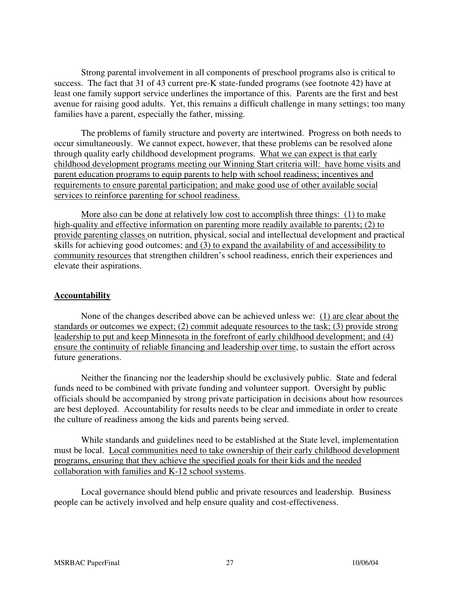Strong parental involvement in all components of preschool programs also is critical to success. The fact that 31 of 43 current pre-K state-funded programs (see footnote 42) have at least one family support service underlines the importance of this. Parents are the first and best avenue for raising good adults. Yet, this remains a difficult challenge in many settings; too many families have a parent, especially the father, missing.

 The problems of family structure and poverty are intertwined. Progress on both needs to occur simultaneously. We cannot expect, however, that these problems can be resolved alone through quality early childhood development programs. What we can expect is that early childhood development programs meeting our Winning Start criteria will: have home visits and parent education programs to equip parents to help with school readiness; incentives and requirements to ensure parental participation; and make good use of other available social services to reinforce parenting for school readiness.

More also can be done at relatively low cost to accomplish three things: (1) to make high-quality and effective information on parenting more readily available to parents; (2) to provide parenting classes on nutrition, physical, social and intellectual development and practical skills for achieving good outcomes; and (3) to expand the availability of and accessibility to community resources that strengthen children's school readiness, enrich their experiences and elevate their aspirations.

## **Accountability**

 None of the changes described above can be achieved unless we: (1) are clear about the standards or outcomes we expect; (2) commit adequate resources to the task; (3) provide strong leadership to put and keep Minnesota in the forefront of early childhood development; and (4) ensure the continuity of reliable financing and leadership over time, to sustain the effort across future generations.

 Neither the financing nor the leadership should be exclusively public. State and federal funds need to be combined with private funding and volunteer support. Oversight by public officials should be accompanied by strong private participation in decisions about how resources are best deployed. Accountability for results needs to be clear and immediate in order to create the culture of readiness among the kids and parents being served.

 While standards and guidelines need to be established at the State level, implementation must be local. Local communities need to take ownership of their early childhood development programs, ensuring that they achieve the specified goals for their kids and the needed collaboration with families and K-12 school systems.

 Local governance should blend public and private resources and leadership. Business people can be actively involved and help ensure quality and cost-effectiveness.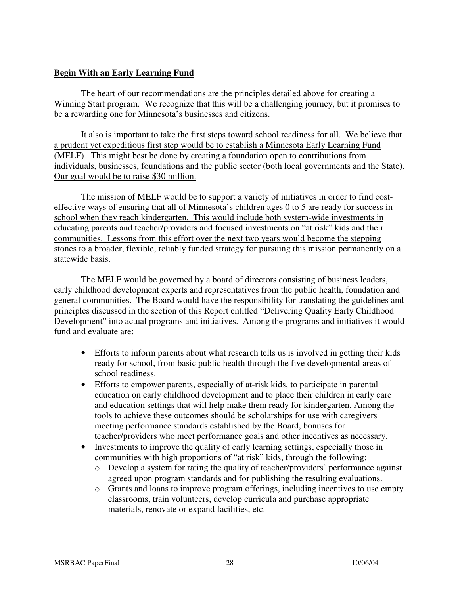## **Begin With an Early Learning Fund**

The heart of our recommendations are the principles detailed above for creating a Winning Start program. We recognize that this will be a challenging journey, but it promises to be a rewarding one for Minnesota's businesses and citizens.

It also is important to take the first steps toward school readiness for all. We believe that a prudent yet expeditious first step would be to establish a Minnesota Early Learning Fund (MELF). This might best be done by creating a foundation open to contributions from individuals, businesses, foundations and the public sector (both local governments and the State). Our goal would be to raise \$30 million.

The mission of MELF would be to support a variety of initiatives in order to find costeffective ways of ensuring that all of Minnesota's children ages 0 to 5 are ready for success in school when they reach kindergarten. This would include both system-wide investments in educating parents and teacher/providers and focused investments on "at risk" kids and their communities. Lessons from this effort over the next two years would become the stepping stones to a broader, flexible, reliably funded strategy for pursuing this mission permanently on a statewide basis.

The MELF would be governed by a board of directors consisting of business leaders, early childhood development experts and representatives from the public health, foundation and general communities. The Board would have the responsibility for translating the guidelines and principles discussed in the section of this Report entitled "Delivering Quality Early Childhood Development" into actual programs and initiatives. Among the programs and initiatives it would fund and evaluate are:

- Efforts to inform parents about what research tells us is involved in getting their kids ready for school, from basic public health through the five developmental areas of school readiness.
- Efforts to empower parents, especially of at-risk kids, to participate in parental education on early childhood development and to place their children in early care and education settings that will help make them ready for kindergarten. Among the tools to achieve these outcomes should be scholarships for use with caregivers meeting performance standards established by the Board, bonuses for teacher/providers who meet performance goals and other incentives as necessary.
- Investments to improve the quality of early learning settings, especially those in communities with high proportions of "at risk" kids, through the following:
	- o Develop a system for rating the quality of teacher/providers' performance against agreed upon program standards and for publishing the resulting evaluations.
	- o Grants and loans to improve program offerings, including incentives to use empty classrooms, train volunteers, develop curricula and purchase appropriate materials, renovate or expand facilities, etc.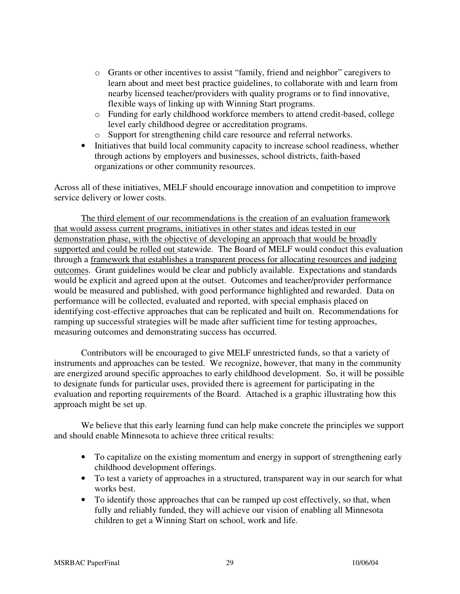- o Grants or other incentives to assist "family, friend and neighbor" caregivers to learn about and meet best practice guidelines, to collaborate with and learn from nearby licensed teacher/providers with quality programs or to find innovative, flexible ways of linking up with Winning Start programs.
- o Funding for early childhood workforce members to attend credit-based, college level early childhood degree or accreditation programs.
- o Support for strengthening child care resource and referral networks.
- Initiatives that build local community capacity to increase school readiness, whether through actions by employers and businesses, school districts, faith-based organizations or other community resources.

Across all of these initiatives, MELF should encourage innovation and competition to improve service delivery or lower costs.

The third element of our recommendations is the creation of an evaluation framework that would assess current programs, initiatives in other states and ideas tested in our demonstration phase, with the objective of developing an approach that would be broadly supported and could be rolled out statewide. The Board of MELF would conduct this evaluation through a framework that establishes a transparent process for allocating resources and judging outcomes. Grant guidelines would be clear and publicly available. Expectations and standards would be explicit and agreed upon at the outset. Outcomes and teacher/provider performance would be measured and published, with good performance highlighted and rewarded. Data on performance will be collected, evaluated and reported, with special emphasis placed on identifying cost-effective approaches that can be replicated and built on. Recommendations for ramping up successful strategies will be made after sufficient time for testing approaches, measuring outcomes and demonstrating success has occurred.

 Contributors will be encouraged to give MELF unrestricted funds, so that a variety of instruments and approaches can be tested. We recognize, however, that many in the community are energized around specific approaches to early childhood development. So, it will be possible to designate funds for particular uses, provided there is agreement for participating in the evaluation and reporting requirements of the Board. Attached is a graphic illustrating how this approach might be set up.

We believe that this early learning fund can help make concrete the principles we support and should enable Minnesota to achieve three critical results:

- To capitalize on the existing momentum and energy in support of strengthening early childhood development offerings.
- To test a variety of approaches in a structured, transparent way in our search for what works best.
- To identify those approaches that can be ramped up cost effectively, so that, when fully and reliably funded, they will achieve our vision of enabling all Minnesota children to get a Winning Start on school, work and life.